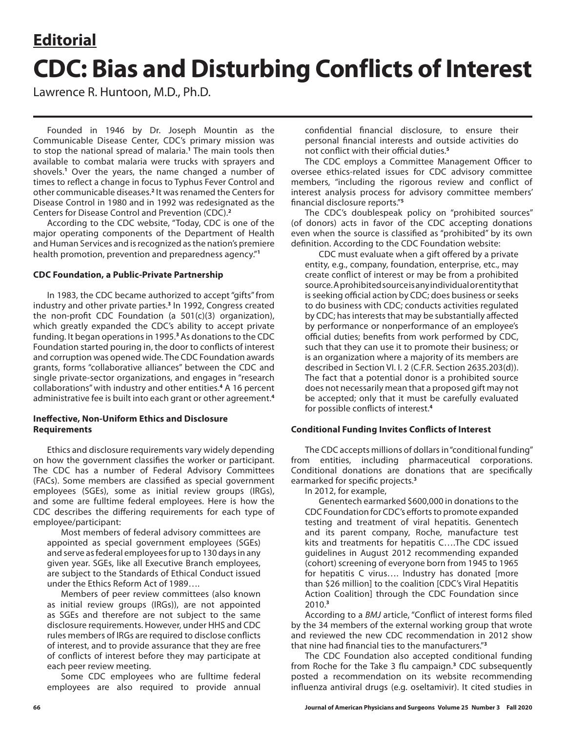# **Editorial CDC: Bias and Disturbing Conflicts of Interest**

Lawrence R. Huntoon, M.D., Ph.D.

Founded in 1946 by Dr. Joseph Mountin as the Communicable Disease Center, CDC's primary mission was to stop the national spread of malaria.**<sup>1</sup>** The main tools then available to combat malaria were trucks with sprayers and shovels.**<sup>1</sup>** Over the years, the name changed a number of times to reflect a change in focus to Typhus Fever Control and other communicable diseases.**<sup>2</sup>** It was renamed the Centers for Disease Control in 1980 and in 1992 was redesignated as the Centers for Disease Control and Prevention (CDC).**<sup>2</sup>**

According to the CDC website, "Today, CDC is one of the major operating components of the Department of Health and Human Services and is recognized as the nation's premiere health promotion, prevention and preparedness agency."**<sup>1</sup>**

## **CDC Foundation, a Public-Private Partnership**

In 1983, the CDC became authorized to accept "gifts" from industry and other private parties.**<sup>3</sup>** In 1992, Congress created the non-profit CDC Foundation (a  $501(c)(3)$  organization), which greatly expanded the CDC's ability to accept private funding. It began operations in 1995.<sup>3</sup> As donations to the CDC Foundation started pouring in, the door to conflicts of interest and corruption was opened wide. The CDC Foundation awards grants, forms "collaborative alliances" between the CDC and single private-sector organizations, and engages in "research collaborations" with industry and other entities.**<sup>4</sup>** A 16 percent administrative fee is built into each grant or other agreement.**<sup>4</sup>**

## **Ineffective, Non-Uniform Ethics and Disclosure Requirements**

Ethics and disclosure requirements vary widely depending on how the government classifies the worker or participant. The CDC has a number of Federal Advisory Committees (FACs). Some members are classified as special government employees (SGEs), some as initial review groups (IRGs), and some are fulltime federal employees. Here is how the CDC describes the differing requirements for each type of employee/participant:

Most members of federal advisory committees are appointed as special government employees (SGEs) and serve as federal employees for up to 130 days in any given year. SGEs, like all Executive Branch employees, are subject to the Standards of Ethical Conduct issued under the Ethics Reform Act of 1989….

Members of peer review committees (also known as initial review groups (IRGs)), are not appointed as SGEs and therefore are not subject to the same disclosure requirements. However, under HHS and CDC rules members of IRGs are required to disclose conflicts of interest, and to provide assurance that they are free of conflicts of interest before they may participate at each peer review meeting.

Some CDC employees who are fulltime federal employees are also required to provide annual confidential financial disclosure, to ensure their personal financial interests and outside activities do not conflict with their official duties.**<sup>5</sup>**

The CDC employs a Committee Management Officer to oversee ethics-related issues for CDC advisory committee members, "including the rigorous review and conflict of interest analysis process for advisory committee members' financial disclosure reports."**<sup>5</sup>**

The CDC's doublespeak policy on "prohibited sources" (of donors) acts in favor of the CDC accepting donations even when the source is classified as "prohibited" by its own definition. According to the CDC Foundation website:

CDC must evaluate when a gift offered by a private entity, e.g., company, foundation, enterprise, etc., may create conflict of interest or may be from a prohibited source. A prohibited source is any individual or entity that is seeking official action by CDC; does business or seeks to do business with CDC; conducts activities regulated by CDC; has interests that may be substantially affected by performance or nonperformance of an employee's official duties; benefits from work performed by CDC, such that they can use it to promote their business; or is an organization where a majority of its members are described in Section VI. I. 2 (C.F.R. Section 2635.203(d)). The fact that a potential donor is a prohibited source does not necessarily mean that a proposed gift may not be accepted; only that it must be carefully evaluated for possible conflicts of interest.**<sup>4</sup>**

### **Conditional Funding Invites Conflicts of Interest**

The CDC accepts millions of dollars in "conditional funding" from entities, including pharmaceutical corporations. Conditional donations are donations that are specifically earmarked for specific projects.**<sup>3</sup>**

In 2012, for example,

Genentech earmarked \$600,000 in donations to the CDC Foundation for CDC's efforts to promote expanded testing and treatment of viral hepatitis. Genentech and its parent company, Roche, manufacture test kits and treatments for hepatitis C….The CDC issued guidelines in August 2012 recommending expanded (cohort) screening of everyone born from 1945 to 1965 for hepatitis C virus…. Industry has donated [more than \$26 million] to the coalition [CDC's Viral Hepatitis Action Coalition] through the CDC Foundation since 2010.**<sup>3</sup>**

According to a *BMJ* article, "Conflict of interest forms filed by the 34 members of the external working group that wrote and reviewed the new CDC recommendation in 2012 show that nine had financial ties to the manufacturers."**<sup>3</sup>**

The CDC Foundation also accepted conditional funding from Roche for the Take 3 flu campaign.**<sup>3</sup>** CDC subsequently posted a recommendation on its website recommending influenza antiviral drugs (e.g. oseltamivir). It cited studies in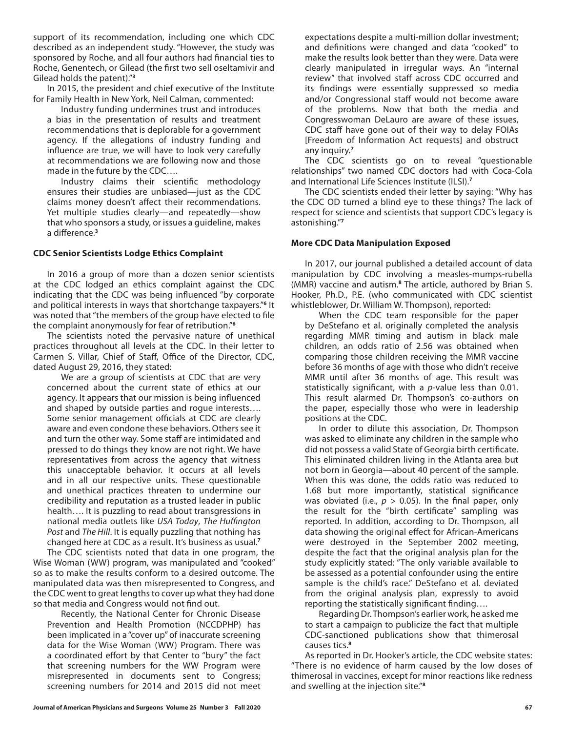support of its recommendation, including one which CDC described as an independent study. "However, the study was sponsored by Roche, and all four authors had financial ties to Roche, Genentech, or Gilead (the first two sell oseltamivir and Gilead holds the patent)."**<sup>3</sup>**

In 2015, the president and chief executive of the Institute for Family Health in New York, Neil Calman, commented:

Industry funding undermines trust and introduces a bias in the presentation of results and treatment recommendations that is deplorable for a government agency. If the allegations of industry funding and influence are true, we will have to look very carefully at recommendations we are following now and those made in the future by the CDC….

Industry claims their scientific methodology ensures their studies are unbiased—just as the CDC claims money doesn't affect their recommendations. Yet multiple studies clearly—and repeatedly—show that who sponsors a study, or issues a guideline, makes a difference.**<sup>3</sup>**

### **CDC Senior Scientists Lodge Ethics Complaint**

In 2016 a group of more than a dozen senior scientists at the CDC lodged an ethics complaint against the CDC indicating that the CDC was being influenced "by corporate and political interests in ways that shortchange taxpayers."**<sup>6</sup>** It was noted that "the members of the group have elected to file the complaint anonymously for fear of retribution."**<sup>6</sup>**

The scientists noted the pervasive nature of unethical practices throughout all levels at the CDC. In their letter to Carmen S. Villar, Chief of Staff, Office of the Director, CDC, dated August 29, 2016, they stated:

We are a group of scientists at CDC that are very concerned about the current state of ethics at our agency. It appears that our mission is being influenced and shaped by outside parties and rogue interests…. Some senior management officials at CDC are clearly aware and even condone these behaviors. Others see it and turn the other way. Some staff are intimidated and pressed to do things they know are not right. We have representatives from across the agency that witness this unacceptable behavior. It occurs at all levels and in all our respective units. These questionable and unethical practices threaten to undermine our credibility and reputation as a trusted leader in public health…. It is puzzling to read about transgressions in national media outlets like *USA Today*, *The Huffington Post* and *The Hill*. It is equally puzzling that nothing has changed here at CDC as a result. It's business as usual.**<sup>7</sup>**

The CDC scientists noted that data in one program, the Wise Woman (WW) program, was manipulated and "cooked" so as to make the results conform to a desired outcome. The manipulated data was then misrepresented to Congress, and the CDC went to great lengths to cover up what they had done so that media and Congress would not find out.

Recently, the National Center for Chronic Disease Prevention and Health Promotion (NCCDPHP) has been implicated in a "cover up" of inaccurate screening data for the Wise Woman (WW) Program. There was a coordinated effort by that Center to "bury" the fact that screening numbers for the WW Program were misrepresented in documents sent to Congress; screening numbers for 2014 and 2015 did not meet

expectations despite a multi-million dollar investment; and definitions were changed and data "cooked" to make the results look better than they were. Data were clearly manipulated in irregular ways. An "internal review" that involved staff across CDC occurred and its findings were essentially suppressed so media and/or Congressional staff would not become aware of the problems. Now that both the media and Congresswoman DeLauro are aware of these issues, CDC staff have gone out of their way to delay FOIAs [Freedom of Information Act requests] and obstruct any inquiry.**<sup>7</sup>**

The CDC scientists go on to reveal "questionable relationships" two named CDC doctors had with Coca-Cola and International Life Sciences Institute (ILSI).**<sup>7</sup>**

The CDC scientists ended their letter by saying: "Why has the CDC OD turned a blind eye to these things? The lack of respect for science and scientists that support CDC's legacy is astonishing."**<sup>7</sup>**

### **More CDC Data Manipulation Exposed**

In 2017, our journal published a detailed account of data manipulation by CDC involving a measles-mumps-rubella (MMR) vaccine and autism.**<sup>8</sup>** The article, authored by Brian S. Hooker, Ph.D., P.E. (who communicated with CDC scientist whistleblower, Dr. William W. Thompson), reported:

When the CDC team responsible for the paper by DeStefano et al. originally completed the analysis regarding MMR timing and autism in black male children, an odds ratio of 2.56 was obtained when comparing those children receiving the MMR vaccine before 36 months of age with those who didn't receive MMR until after 36 months of age. This result was statistically significant, with a *p*-value less than 0.01. This result alarmed Dr. Thompson's co-authors on the paper, especially those who were in leadership positions at the CDC.

In order to dilute this association, Dr. Thompson was asked to eliminate any children in the sample who did not possess a valid State of Georgia birth certificate. This eliminated children living in the Atlanta area but not born in Georgia—about 40 percent of the sample. When this was done, the odds ratio was reduced to 1.68 but more importantly, statistical significance was obviated (i.e.,  $p > 0.05$ ). In the final paper, only the result for the "birth certificate" sampling was reported. In addition, according to Dr. Thompson, all data showing the original effect for African-Americans were destroyed in the September 2002 meeting, despite the fact that the original analysis plan for the study explicitly stated: "The only variable available to be assessed as a potential confounder using the entire sample is the child's race." DeStefano et al. deviated from the original analysis plan, expressly to avoid reporting the statistically significant finding….

Regarding Dr. Thompson's earlier work, he asked me to start a campaign to publicize the fact that multiple CDC-sanctioned publications show that thimerosal causes tics.**<sup>8</sup>**

As reported in Dr. Hooker's article, the CDC website states: "There is no evidence of harm caused by the low doses of thimerosal in vaccines, except for minor reactions like redness and swelling at the injection site."**8**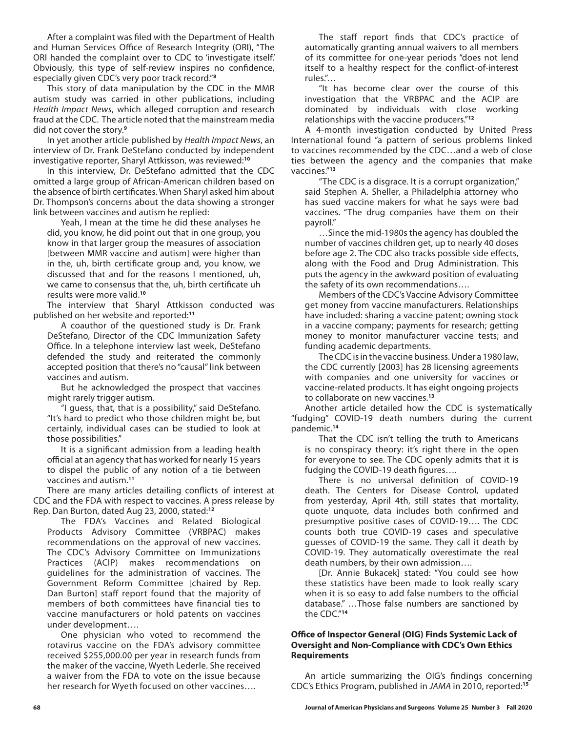After a complaint was filed with the Department of Health and Human Services Office of Research Integrity (ORI), "The ORI handed the complaint over to CDC to 'investigate itself.' Obviously, this type of self-review inspires no confidence, especially given CDC's very poor track record."**<sup>8</sup>**

This story of data manipulation by the CDC in the MMR autism study was carried in other publications, including *Health Impact News*, which alleged corruption and research fraud at the CDC. The article noted that the mainstream media did not cover the story.**<sup>9</sup>**

In yet another article published by *Health Impact News*, an interview of Dr. Frank DeStefano conducted by independent investigative reporter, Sharyl Attkisson, was reviewed:**<sup>10</sup>**

In this interview, Dr. DeStefano admitted that the CDC omitted a large group of African-American children based on the absence of birth certificates. When Sharyl asked him about Dr. Thompson's concerns about the data showing a stronger link between vaccines and autism he replied:

Yeah, I mean at the time he did these analyses he did, you know, he did point out that in one group, you know in that larger group the measures of association [between MMR vaccine and autism] were higher than in the, uh, birth certificate group and, you know, we discussed that and for the reasons I mentioned, uh, we came to consensus that the, uh, birth certificate uh results were more valid.**<sup>10</sup>**

The interview that Sharyl Attkisson conducted was published on her website and reported:**<sup>11</sup>**

A coauthor of the questioned study is Dr. Frank DeStefano, Director of the CDC Immunization Safety Office. In a telephone interview last week, DeStefano defended the study and reiterated the commonly accepted position that there's no "causal" link between vaccines and autism.

But he acknowledged the prospect that vaccines might rarely trigger autism.

"I guess, that, that is a possibility," said DeStefano. "It's hard to predict who those children might be, but certainly, individual cases can be studied to look at those possibilities."

It is a significant admission from a leading health official at an agency that has worked for nearly 15 years to dispel the public of any notion of a tie between vaccines and autism.**<sup>11</sup>**

There are many articles detailing conflicts of interest at CDC and the FDA with respect to vaccines. A press release by Rep. Dan Burton, dated Aug 23, 2000, stated:**<sup>12</sup>**

The FDA's Vaccines and Related Biological Products Advisory Committee (VRBPAC) makes recommendations on the approval of new vaccines. The CDC's Advisory Committee on Immunizations Practices (ACIP) makes recommendations on guidelines for the administration of vaccines. The Government Reform Committee [chaired by Rep. Dan Burton] staff report found that the majority of members of both committees have financial ties to vaccine manufacturers or hold patents on vaccines under development….

One physician who voted to recommend the rotavirus vaccine on the FDA's advisory committee received \$255,000.00 per year in research funds from the maker of the vaccine, Wyeth Lederle. She received a waiver from the FDA to vote on the issue because her research for Wyeth focused on other vaccines….

The staff report finds that CDC's practice of automatically granting annual waivers to all members of its committee for one-year periods "does not lend itself to a healthy respect for the conflict-of-interest rules."…

"It has become clear over the course of this investigation that the VRBPAC and the ACIP are dominated by individuals with close working relationships with the vaccine producers."**<sup>12</sup>**

A 4-month investigation conducted by United Press International found "a pattern of serious problems linked to vaccines recommended by the CDC…and a web of close ties between the agency and the companies that make vaccines."**<sup>13</sup>**

"The CDC is a disgrace. It is a corrupt organization," said Stephen A. Sheller, a Philadelphia attorney who has sued vaccine makers for what he says were bad vaccines. "The drug companies have them on their payroll."

…Since the mid-1980s the agency has doubled the number of vaccines children get, up to nearly 40 doses before age 2. The CDC also tracks possible side effects, along with the Food and Drug Administration. This puts the agency in the awkward position of evaluating the safety of its own recommendations….

Members of the CDC's Vaccine Advisory Committee get money from vaccine manufacturers. Relationships have included: sharing a vaccine patent; owning stock in a vaccine company; payments for research; getting money to monitor manufacturer vaccine tests; and funding academic departments.

The CDC is in the vaccine business. Under a 1980 law, the CDC currently [2003] has 28 licensing agreements with companies and one university for vaccines or vaccine-related products. It has eight ongoing projects to collaborate on new vaccines.**<sup>13</sup>**

Another article detailed how the CDC is systematically "fudging" COVID-19 death numbers during the current pandemic.**<sup>14</sup>**

That the CDC isn't telling the truth to Americans is no conspiracy theory: it's right there in the open for everyone to see. The CDC openly admits that it is fudging the COVID-19 death figures….

There is no universal definition of COVID-19 death. The Centers for Disease Control, updated from yesterday, April 4th, still states that mortality, quote unquote, data includes both confirmed and presumptive positive cases of COVID-19…. The CDC counts both true COVID-19 cases and speculative guesses of COVID-19 the same. They call it death by COVID-19. They automatically overestimate the real death numbers, by their own admission….

[Dr. Annie Bukacek] stated: "You could see how these statistics have been made to look really scary when it is so easy to add false numbers to the official database." …Those false numbers are sanctioned by the CDC."**<sup>14</sup>**

## **Office of Inspector General (OIG) Finds Systemic Lack of Oversight and Non-Compliance with CDC's Own Ethics Requirements**

An article summarizing the OIG's findings concerning CDC's Ethics Program, published in *JAMA* in 2010, reported:**15**